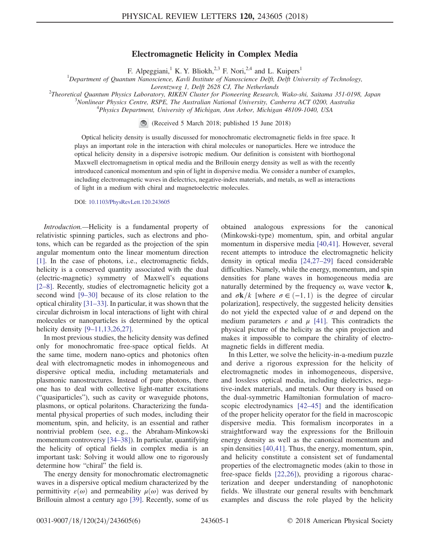## Electromagnetic Helicity in Complex Media

F. Alpeggiani,<sup>1</sup> K. Y. Bliokh,<sup>2,3</sup> F. Nori,<sup>2,4</sup> and L. Kuipers<sup>1</sup>

<sup>1</sup>Department of Quantum Nanoscience, Kavli Institute of Nanoscience Delft, Delft University of Technology,

Lorentzweg 1, Delft 2628 CJ, The Netherlands<br><sup>2</sup>Theoretical Quantum Physics Laboratory, PIKEN Cluster for Pioneering Pescarah<sup>2</sup>

Theoretical Quantum Physics Laboratory, RIKEN Cluster for Pioneering Research, Wako-shi, Saitama 351-0198, Japan <sup>3</sup>

 ${}^{3}$ Nonlinear Physics Centre, RSPE, The Australian National University, Canberra ACT 0200, Australia

<sup>4</sup>Physics Department, University of Michigan, Ann Arbor, Michigan 48109-1040, USA

(Received 5 March 2018; published 15 June 2018)

Optical helicity density is usually discussed for monochromatic electromagnetic fields in free space. It plays an important role in the interaction with chiral molecules or nanoparticles. Here we introduce the optical helicity density in a dispersive isotropic medium. Our definition is consistent with biorthogonal Maxwell electromagnetism in optical media and the Brillouin energy density as well as with the recently introduced canonical momentum and spin of light in dispersive media. We consider a number of examples, including electromagnetic waves in dielectrics, negative-index materials, and metals, as well as interactions of light in a medium with chiral and magnetoelectric molecules.

DOI: [10.1103/PhysRevLett.120.243605](https://doi.org/10.1103/PhysRevLett.120.243605)

Introduction.—Helicity is a fundamental property of relativistic spinning particles, such as electrons and photons, which can be regarded as the projection of the spin angular momentum onto the linear momentum direction [\[1\]](#page-4-0). In the case of photons, i.e., electromagnetic fields, helicity is a conserved quantity associated with the dual (electric-magnetic) symmetry of Maxwell's equations [\[2](#page-4-1)–8]. Recently, studies of electromagnetic helicity got a second wind [9–[30\]](#page-4-2) because of its close relation to the optical chirality [31–[33\].](#page-5-0) In particular, it was shown that the circular dichroism in local interactions of light with chiral molecules or nanoparticles is determined by the optical helicity density [9–[11,13,26,27\]](#page-4-2).

In most previous studies, the helicity density was defined only for monochromatic free-space optical fields. At the same time, modern nano-optics and photonics often deal with electromagnetic modes in inhomogeneous and dispersive optical media, including metamaterials and plasmonic nanostructures. Instead of pure photons, there one has to deal with collective light-matter excitations ("quasiparticles"), such as cavity or waveguide photons, plasmons, or optical polaritons. Characterizing the fundamental physical properties of such modes, including their momentum, spin, and helicity, is an essential and rather nontrivial problem (see, e.g., the Abraham-Minkowski momentum controversy [34–[38\]\)](#page-5-1). In particular, quantifying the helicity of optical fields in complex media is an important task: Solving it would allow one to rigorously determine how "chiral" the field is.

The energy density for monochromatic electromagnetic waves in a dispersive optical medium characterized by the permittivity  $\varepsilon(\omega)$  and permeability  $\mu(\omega)$  was derived by Brillouin almost a century ago [\[39\]](#page-5-2). Recently, some of us obtained analogous expressions for the canonical (Minkowski-type) momentum, spin, and orbital angular momentum in dispersive media [\[40,41\].](#page-5-3) However, several recent attempts to introduce the electromagnetic helicity density in optical media [\[24,27](#page-5-4)–29] faced considerable difficulties. Namely, while the energy, momentum, and spin densities for plane waves in homogeneous media are naturally determined by the frequency  $\omega$ , wave vector **k**, and  $\sigma \mathbf{k}/k$  [where  $\sigma \in (-1, 1)$  is the degree of circular polarization], respectively, the suggested helicity densities do not yield the expected value of  $\sigma$  and depend on the medium parameters  $\varepsilon$  and  $\mu$  [\[41\]](#page-5-5). This contradicts the physical picture of the helicity as the spin projection and makes it impossible to compare the chirality of electromagnetic fields in different media.

In this Letter, we solve the helicity-in-a-medium puzzle and derive a rigorous expression for the helicity of electromagnetic modes in inhomogeneous, dispersive, and lossless optical media, including dielectrics, negative-index materials, and metals. Our theory is based on the dual-symmetric Hamiltonian formulation of macroscopic electrodynamics [42–[45\]](#page-5-6) and the identification of the proper helicity operator for the field in macroscopic dispersive media. This formalism incorporates in a straightforward way the expressions for the Brillouin energy density as well as the canonical momentum and spin densities [\[40,41\].](#page-5-3) Thus, the energy, momentum, spin, and helicity constitute a consistent set of fundamental properties of the electromagnetic modes (akin to those in free-space fields [\[22,26\]](#page-5-7)), providing a rigorous characterization and deeper understanding of nanophotonic fields. We illustrate our general results with benchmark examples and discuss the role played by the helicity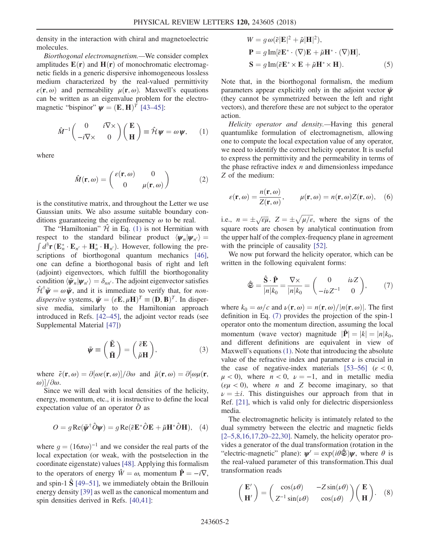density in the interaction with chiral and magnetoelectric molecules.

Biorthogonal electromagnetism.—We consider complex amplitudes  $E(\mathbf{r})$  and  $H(\mathbf{r})$  of monochromatic electromagnetic fields in a generic dispersive inhomogeneous lossless medium characterized by the real-valued permittivity  $\varepsilon(\mathbf{r}, \omega)$  and permeability  $\mu(\mathbf{r}, \omega)$ . Maxwell's equations can be written as an eigenvalue problem for the electromagnetic "bispinor"  $\psi = (E, H)^T$  [\[43](#page-5-8)–45]:

<span id="page-1-0"></span>
$$
\hat{M}^{-1}\begin{pmatrix} 0 & i\nabla \times \\ -i\nabla \times & 0 \end{pmatrix} \begin{pmatrix} \mathbf{E} \\ \mathbf{H} \end{pmatrix} \equiv \hat{\mathcal{H}} \mathbf{\psi} = \omega \mathbf{\psi}, \qquad (1)
$$

<span id="page-1-5"></span>where

$$
\hat{M}(\mathbf{r},\omega) = \begin{pmatrix} \varepsilon(\mathbf{r},\omega) & 0\\ 0 & \mu(\mathbf{r},\omega) \end{pmatrix}
$$
 (2)

is the constitutive matrix, and throughout the Letter we use Gaussian units. We also assume suitable boundary conditions guaranteeing the eigenfrequency  $\omega$  to be real.

The "Hamiltonian"  $\hat{\mathcal{H}}$  in Eq. [\(1\)](#page-1-0) is not Hermitian with respect to the standard bilinear product  $\langle \psi_n | \psi_{n'} \rangle$  =  $\int d^3 \mathbf{r} (\mathbf{E}_n^* \cdot \mathbf{E}_{n'} + \mathbf{H}_n^* \cdot \mathbf{H}_{n'})$ . However, following the pre-scriptions of biorthogonal quantum mechanics [\[46\]](#page-5-9), one can define a biorthogonal basis of right and left (adjoint) eigenvectors, which fulfill the biorthogonality condition  $\langle \tilde{\psi}_n | \psi_{n'} \rangle = \delta_{nn'}$ . The adjoint eigenvector satisfies  $\hat{\mathcal{H}}^{\dagger} \tilde{\psi} = \omega \tilde{\psi}$ , and it is immediate to verify that, for *non*dispersive systems,  $\tilde{\mathbf{\psi}} = (\varepsilon \mathbf{E}, \mu \mathbf{H})^T \equiv (\mathbf{D}, \mathbf{B})^T$ . In dispersive media, similarly to the Hamiltonian approach introduced in Refs. [\[42](#page-5-6)–45], the adjoint vector reads (see Supplemental Material [\[47\]\)](#page-5-10)

$$
\tilde{\psi} \equiv \left(\begin{array}{c}\tilde{\mathbf{E}}\\ \tilde{\mathbf{H}}\end{array}\right) = \left(\begin{array}{c}\tilde{\varepsilon}\mathbf{E}\\ \tilde{\mu}\mathbf{H}\end{array}\right),\tag{3}
$$

where  $\tilde{\varepsilon}(\mathbf{r},\omega)=\partial[\omega\varepsilon(\mathbf{r},\omega)]/\partial\omega$  and  $\tilde{\mu}(\mathbf{r},\omega)=\partial[\omega\mu(\mathbf{r},\omega)]$ ω)] $\frac{\partial \omega}{\partial \omega}$ .

<span id="page-1-3"></span>Since we will deal with local densities of the helicity, energy, momentum, etc., it is instructive to define the local expectation value of an operator  $\hat{O}$  as

$$
O = g \operatorname{Re}(\tilde{\psi}^{\dagger} \hat{O} \psi) = g \operatorname{Re}(\tilde{\varepsilon} \mathbf{E}^* \hat{O} \mathbf{E} + \tilde{\mu} \mathbf{H}^* \hat{O} \mathbf{H}), \quad (4)
$$

<span id="page-1-4"></span>where  $q = (16\pi\omega)^{-1}$  and we consider the real parts of the local expectation (or weak, with the postselection in the coordinate eigenstate) values [\[48\].](#page-5-11) Applying this formalism to the operators of energy  $\hat{W} = \omega$ , momentum  $\hat{P} = -i\nabla$ , and spin-1  $\hat{S}$  [\[49](#page-5-12)–51], we immediately obtain the Brillouin energy density [\[39\]](#page-5-2) as well as the canonical momentum and spin densities derived in Refs. [\[40,41\]:](#page-5-3)

$$
W = g \omega(\tilde{\varepsilon}|\mathbf{E}|^2 + \tilde{\mu}|\mathbf{H}|^2),
$$
  

$$
\mathbf{P} = g \operatorname{Im}[\tilde{\varepsilon} \mathbf{E}^* \cdot (\nabla) \mathbf{E} + \tilde{\mu} \mathbf{H}^* \cdot (\nabla) \mathbf{H}],
$$
  

$$
\mathbf{S} = g \operatorname{Im}(\tilde{\varepsilon} \mathbf{E}^* \times \mathbf{E} + \tilde{\mu} \mathbf{H}^* \times \mathbf{H}).
$$
 (5)

Note that, in the biorthogonal formalism, the medium parameters appear explicitly only in the adjoint vector  $\tilde{\psi}$ (they cannot be symmetrized between the left and right vectors), and therefore these are not subject to the operator action.

Helicity operator and density.—Having this general quantumlike formulation of electromagnetism, allowing one to compute the local expectation value of any operator, we need to identify the correct helicity operator. It is useful to express the permittivity and the permeability in terms of the phase refractive index  $n$  and dimensionless impedance Z of the medium:

$$
\varepsilon(\mathbf{r}, \omega) = \frac{n(\mathbf{r}, \omega)}{Z(\mathbf{r}, \omega)}, \qquad \mu(\mathbf{r}, \omega) = n(\mathbf{r}, \omega) Z(\mathbf{r}, \omega), \quad (6)
$$

i.e.,  $n = \pm \sqrt{\varepsilon \mu}$ ,  $Z = \pm \sqrt{\mu/\varepsilon}$ , where the signs of the square roots are chosen by analytical continuation from the upper half of the complex-frequency plane in agreement with the principle of causality [\[52\].](#page-5-13)

<span id="page-1-1"></span>We now put forward the helicity operator, which can be written in the following equivalent forms:

$$
\hat{\mathfrak{S}} = \frac{\hat{\mathbf{S}} \cdot \hat{\mathbf{P}}}{|n|k_0} = \frac{\nabla \times}{|n|k_0} = \begin{pmatrix} 0 & i\nu Z \\ -i\nu Z^{-1} & 0 \end{pmatrix}, \qquad (7)
$$

where  $k_0 = \omega/c$  and  $\nu(\mathbf{r}, \omega) = n(\mathbf{r}, \omega)/|n(\mathbf{r}, \omega)|$ . The first definition in Eq. [\(7\)](#page-1-1) provides the projection of the spin-1 operator onto the momentum direction, assuming the local momentum (wave vector) magnitude  $|\hat{\mathbf{P}}| = |k| = |n|k_0$ , and different definitions are equivalent in view of Maxwell's equations [\(1\)](#page-1-0). Note that introducing the absolute value of the refractive index and parameter  $\nu$  is crucial in the case of negative-index materials  $[53-56]$  $[53-56]$  ( $\varepsilon < 0$ ,  $\mu$  < 0), where  $n$  < 0,  $\nu$  = -1, and in metallic media  $(\varepsilon \mu < 0)$ , where *n* and *Z* become imaginary, so that  $\nu = \pm i$ . This distinguishes our approach from that in Ref. [\[21\]](#page-5-15), which is valid only for dielectric dispersionless media.

The electromagnetic helicity is intimately related to the dual symmetry between the electric and magnetic fields [2–[5,8,16,17,20](#page-4-1)–22,30]. Namely, the helicity operator provides a generator of the dual transformation (rotation in the "electric-magnetic" plane):  $\psi' = \exp(i\theta \hat{\mathfrak{S}})\psi$ , where  $\theta$  is the real-valued parameter of this transformation.This dual transformation reads

<span id="page-1-2"></span>
$$
\begin{pmatrix} \mathbf{E}' \\ \mathbf{H}' \end{pmatrix} = \begin{pmatrix} \cos(\nu\theta) & -Z\sin(\nu\theta) \\ Z^{-1}\sin(\nu\theta) & \cos(\nu\theta) \end{pmatrix} \begin{pmatrix} \mathbf{E} \\ \mathbf{H} \end{pmatrix}.
$$
 (8)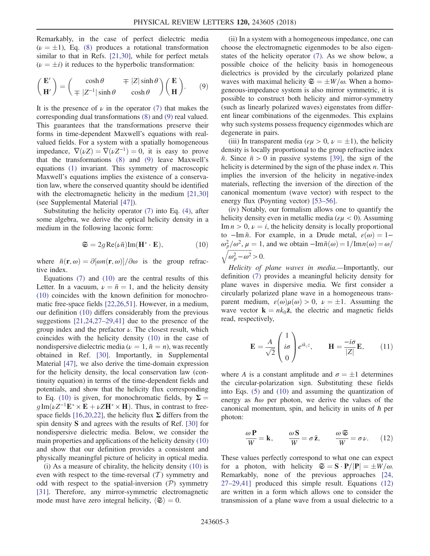Remarkably, in the case of perfect dielectric media  $(\nu = \pm 1)$ , Eq. [\(8\)](#page-1-2) produces a rotational transformation similar to that in Refs. [\[21,30\]](#page-5-15), while for perfect metals  $(\nu = \pm i)$  it reduces to the hyperbolic transformation:

<span id="page-2-0"></span>
$$
\begin{pmatrix} \mathbf{E}' \\ \mathbf{H}' \end{pmatrix} = \begin{pmatrix} \cosh \theta & \mp |Z| \sinh \theta \\ \mp |Z^{-1}| \sinh \theta & \cosh \theta \end{pmatrix} \begin{pmatrix} \mathbf{E} \\ \mathbf{H} \end{pmatrix} . \tag{9}
$$

It is the presence of  $\nu$  in the operator [\(7\)](#page-1-1) that makes the corresponding dual transformations [\(8\)](#page-1-2) and [\(9\)](#page-2-0) real valued. This guarantees that the transformations preserve their forms in time-dependent Maxwell's equations with realvalued fields. For a system with a spatially homogeneous impedance,  $\nabla(\nu Z) = \nabla(\nu Z^{-1}) = 0$ , it is easy to prove that the transformations [\(8\)](#page-1-2) and [\(9\)](#page-2-0) leave Maxwell's equations [\(1\)](#page-1-0) invariant. This symmetry of macroscopic Maxwell's equations implies the existence of a conservation law, where the conserved quantity should be identified with the electromagnetic helicity in the medium [\[21,30\]](#page-5-15) (see Supplemental Material [\[47\]\)](#page-5-10).

<span id="page-2-1"></span>Substituting the helicity operator [\(7\)](#page-1-1) into Eq. [\(4\),](#page-1-3) after some algebra, we derive the optical helicity density in a medium in the following laconic form:

$$
\mathfrak{S} = 2g \operatorname{Re}(\nu \tilde{n}) \operatorname{Im}(\mathbf{H}^* \cdot \mathbf{E}), \tag{10}
$$

where  $\tilde{n}(\mathbf{r},\omega) = \partial[\omega n(\mathbf{r},\omega)]/\partial \omega$  is the group refractive index.

Equations  $(7)$  and  $(10)$  are the central results of this Letter. In a vacuum,  $\nu = \tilde{n} = 1$ , and the helicity density [\(10\)](#page-2-1) coincides with the known definition for monochromatic free-space fields [\[22,26,51\].](#page-5-7) However, in a medium, our definition [\(10\)](#page-2-1) differs considerably from the previous suggestions [\[21,24,27](#page-5-15)–29,41] due to the presence of the group index and the prefactor  $\nu$ . The closest result, which coincides with the helicity density [\(10\)](#page-2-1) in the case of nondispersive dielectric media ( $\nu = 1$ ,  $\tilde{n} = n$ ), was recently obtained in Ref. [\[30\].](#page-5-16) Importantly, in Supplemental Material [\[47\],](#page-5-10) we also derive the time-domain expression for the helicity density, the local conservation law (continuity equation) in terms of the time-dependent fields and potentials, and show that the helicity flux corresponding to Eq. [\(10\)](#page-2-1) is given, for monochromatic fields, by  $\Sigma =$  $g \text{Im}(\nu Z^{-1} \mathbf{E}^* \times \mathbf{E} + \nu Z \mathbf{H}^* \times \mathbf{H})$ . Thus, in contrast to free-space fields [\[16,20,22\]](#page-5-17), the helicity flux  $\Sigma$  differs from the spin density S and agrees with the results of Ref. [\[30\]](#page-5-16) for nondispersive dielectric media. Below, we consider the main properties and applications of the helicity density [\(10\)](#page-2-1) and show that our definition provides a consistent and physically meaningful picture of helicity in optical media.

(i) As a measure of chirality, the helicity density [\(10\)](#page-2-1) is even with respect to the time-reversal  $(T)$  symmetry and odd with respect to the spatial-inversion  $(\mathcal{P})$  symmetry [\[31\]](#page-5-0). Therefore, any mirror-symmetric electromagnetic mode must have zero integral helicity,  $\langle \mathfrak{S} \rangle = 0$ .

(ii) In a system with a homogeneous impedance, one can choose the electromagnetic eigenmodes to be also eigenstates of the helicity operator [\(7\)](#page-1-1). As we show below, a possible choice of the helicity basis in homogeneous dielectrics is provided by the circularly polarized plane waves with maximal helicity  $\mathfrak{S} = \pm W/\omega$ . When a homogeneous-impedance system is also mirror symmetric, it is possible to construct both helicity and mirror-symmetry (such as linearly polarized waves) eigenstates from different linear combinations of the eigenmodes. This explains why such systems possess frequency eigenmodes which are degenerate in pairs.

(iii) In transparent media ( $\epsilon \mu > 0$ ,  $\nu = \pm 1$ ), the helicity density is locally proportional to the group refractive index  $\tilde{n}$ . Since  $\tilde{n} > 0$  in passive systems [\[39\]](#page-5-2), the sign of the helicity is determined by the sign of the phase index  $n$ . This implies the inversion of the helicity in negative-index materials, reflecting the inversion of the direction of the canonical momentum (wave vector) with respect to the energy flux (Poynting vector) [53–[56\].](#page-5-14)

(iv) Notably, our formalism allows one to quantify the helicity density even in metallic media ( $\epsilon \mu < 0$ ). Assuming Im  $n > 0$ ,  $\nu = i$ , the helicity density is locally proportional to −Im  $\tilde{n}$ . For example, in a Drude metal,  $\varepsilon(\omega) = 1$ −  $\omega_p^2/\omega^2$ ,  $\mu = 1$ , and we obtain  $-\text{Im}\,\tilde{n}(\omega) = 1/\text{Im}\,n(\omega) = \omega/$  $\sqrt{\omega_p^2 - \omega^2} > 0.$ 

Helicity of plane waves in media.—Importantly, our definition [\(7\)](#page-1-1) provides a meaningful helicity density for plane waves in dispersive media. We first consider a circularly polarized plane wave in a homogeneous transparent medium,  $\varepsilon(\omega)\mu(\omega) > 0$ ,  $\nu = \pm 1$ . Assuming the wave vector  $\mathbf{k} = nk_0\bar{\mathbf{z}}$ , the electric and magnetic fields read, respectively,

<span id="page-2-3"></span>
$$
\mathbf{E} = \frac{A}{\sqrt{2}} \begin{pmatrix} 1 \\ i\sigma \\ 0 \end{pmatrix} e^{ik_z z}, \qquad \mathbf{H} = \frac{-i\sigma}{|Z|} \mathbf{E}, \qquad (11)
$$

where A is a constant amplitude and  $\sigma = \pm 1$  determines the circular-polarization sign. Substituting these fields into Eqs. [\(5\)](#page-1-4) and [\(10\)](#page-2-1) and assuming the quantization of energy as  $\hbar \omega$  per photon, we derive the values of the canonical momentum, spin, and helicity in units of  $h$  per photon:

<span id="page-2-2"></span>
$$
\frac{\omega \mathbf{P}}{W} = \mathbf{k}, \qquad \frac{\omega \mathbf{S}}{W} = \sigma \bar{\mathbf{z}}, \qquad \frac{\omega \mathfrak{S}}{W} = \sigma \nu. \tag{12}
$$

These values perfectly correspond to what one can expect for a photon, with helicity  $\mathfrak{S} = \mathbf{S} \cdot \mathbf{P}/|\mathbf{P}| = \pm W/\omega$ . Remarkably, none of the previous approaches [\[24,](#page-5-4) 27–[29,41\]](#page-5-4) produced this simple result. Equations [\(12\)](#page-2-2) are written in a form which allows one to consider the transmission of a plane wave from a usual dielectric to a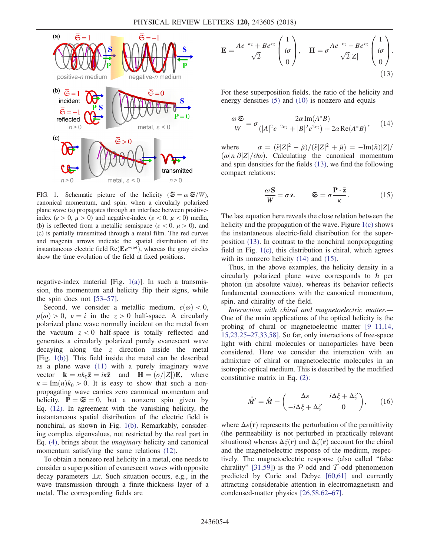<span id="page-3-0"></span>

FIG. 1. Schematic picture of the helicity ( $\bar{\mathfrak{S}} = \omega \mathfrak{S}/W$ ), canonical momentum, and spin, when a circularly polarized plane wave (a) propagates through an interface between positiveindex ( $\varepsilon > 0$ ,  $\mu > 0$ ) and negative-index ( $\varepsilon < 0$ ,  $\mu < 0$ ) media, (b) is reflected from a metallic semispace ( $\varepsilon < 0$ ,  $\mu > 0$ ), and (c) is partially transmitted through a metal film. The red curves and magenta arrows indicate the spatial distribution of the instantaneous electric field  $\text{Re}(\mathbf{E}e^{-i\omega t})$ , whereas the gray circles show the time evolution of the field at fixed positions.

negative-index material [Fig. [1\(a\)](#page-3-0)]. In such a transmission, the momentum and helicity flip their signs, while the spin does not [\[53](#page-5-14)–57].

Second, we consider a metallic medium,  $\varepsilon(\omega) < 0$ ,  $\mu(\omega) > 0$ ,  $\nu = i$  in the  $z > 0$  half-space. A circularly polarized plane wave normally incident on the metal from the vacuum  $z < 0$  half-space is totally reflected and generates a circularly polarized purely evanescent wave decaying along the  $z$  direction inside the metal [Fig. [1\(b\)\]](#page-3-0). This field inside the metal can be described as a plane wave [\(11\)](#page-2-3) with a purely imaginary wave vector  $\mathbf{k} = nk_0\bar{\mathbf{z}} = i\kappa\bar{\mathbf{z}}$  and  $\mathbf{H} = (\sigma/|Z|)\mathbf{E}$ , where  $\kappa = \text{Im}(n)k_0 > 0$ . It is easy to show that such a nonpropagating wave carries zero canonical momentum and helicity,  $P = \mathfrak{S} = 0$ , but a nonzero spin given by Eq. [\(12\).](#page-2-2) In agreement with the vanishing helicity, the instantaneous spatial distribution of the electric field is nonchiral, as shown in Fig. [1\(b\)](#page-3-0). Remarkably, considering complex eigenvalues, not restricted by the real part in Eq. [\(4\)](#page-1-3), brings about the imaginary helicity and canonical momentum satisfying the same relations [\(12\)](#page-2-2).

<span id="page-3-1"></span>To obtain a nonzero real helicity in a metal, one needs to consider a superposition of evanescent waves with opposite decay parameters  $\pm \kappa$ . Such situation occurs, e.g., in the wave transmission through a finite-thickness layer of a metal. The corresponding fields are

$$
\mathbf{E} = \frac{Ae^{-\kappa z} + Be^{\kappa z}}{\sqrt{2}} \begin{pmatrix} 1 \\ i\sigma \\ 0 \end{pmatrix}, \quad \mathbf{H} = \sigma \frac{Ae^{-\kappa z} - Be^{\kappa z}}{\sqrt{2}|Z|} \begin{pmatrix} 1 \\ i\sigma \\ 0 \end{pmatrix}.
$$
\n(13)

<span id="page-3-2"></span>For these superposition fields, the ratio of the helicity and energy densities [\(5\)](#page-1-4) and [\(10\)](#page-2-1) is nonzero and equals

$$
\frac{\omega \mathfrak{S}}{W} = \sigma \frac{2\alpha \operatorname{Im}(A^*B)}{(|A|^2 e^{-2\kappa z} + |B|^2 e^{2\kappa z}) + 2\alpha \operatorname{Re}(A^*B)},\qquad(14)
$$

<span id="page-3-3"></span>where  $\alpha = (\tilde{\varepsilon}|Z|^2 - \tilde{\mu})/(\tilde{\varepsilon}|Z|^2 + \tilde{\mu}) = -\text{Im}(\tilde{\pi})|Z|/2$  $\omega|n|\partial|Z|/\partial\omega$ ). Calculating the canonical momentum and spin densities for the fields [\(13\),](#page-3-1) we find the following compact relations:

$$
\frac{\omega \mathbf{S}}{W} = \sigma \bar{\mathbf{z}}, \qquad \mathbf{\mathfrak{S}} = \sigma \frac{\mathbf{P} \cdot \bar{\mathbf{z}}}{\kappa}.
$$
 (15)

The last equation here reveals the close relation between the helicity and the propagation of the wave. Figure [1\(c\)](#page-3-0) shows the instantaneous electric-field distribution for the superposition [\(13\)](#page-3-1). In contrast to the nonchiral nonpropagating field in Fig. [1\(c\),](#page-3-0) this distribution is chiral, which agrees with its nonzero helicity [\(14\)](#page-3-2) and [\(15\)](#page-3-3).

Thus, in the above examples, the helicity density in a circularly polarized plane wave corresponds to  $\hbar$  per photon (in absolute value), whereas its behavior reflects fundamental connections with the canonical momentum, spin, and chirality of the field.

Interaction with chiral and magnetoelectric matter.— One of the main applications of the optical helicity is the probing of chiral or magnetoelectric matter [9–[11,14,](#page-4-2) 15,23,25–[27,33,58\]](#page-4-2). So far, only interactions of free-space light with chiral molecules or nanoparticles have been considered. Here we consider the interaction with an admixture of chiral or magnetoelectric molecules in an isotropic optical medium. This is described by the modified constitutive matrix in Eq. [\(2\):](#page-1-5)

$$
\hat{M}' = \hat{M} + \begin{pmatrix} \Delta \varepsilon & i\Delta \xi + \Delta \zeta \\ -i\Delta \xi + \Delta \zeta & 0 \end{pmatrix}, \qquad (16)
$$

where  $\Delta\varepsilon(\mathbf{r})$  represents the perturbation of the permittivity (the permeability is not perturbed in practically relevant situations) whereas  $\Delta \xi(\mathbf{r})$  and  $\Delta \zeta(\mathbf{r})$  account for the chiral and the magnetoelectric response of the medium, respectively. The magnetoelectric response (also called "false chirality" [\[31,59\]\)](#page-5-0) is the  $P$ -odd and  $T$ -odd phenomenon predicted by Curie and Debye [\[60,61\]](#page-5-18) and currently attracting considerable attention in electromagnetism and condensed-matter physics [\[26,58,62](#page-5-19)–67].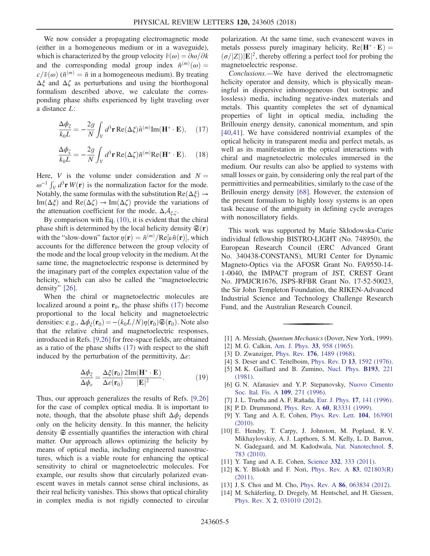We now consider a propagating electromagnetic mode (either in a homogeneous medium or in a waveguide), which is characterized by the group velocity  $\tilde{v}(\omega) = \partial \omega/\partial k$ and the corresponding modal group index  $\tilde{n}^{(m)}(\omega) =$  $c/\tilde{v}(\omega)$  ( $\tilde{n}^{(m)} = \tilde{n}$  in a homogeneous medium). By treating  $\Delta \xi$  and  $\Delta \zeta$  as perturbations and using the biorthogonal formalism described above, we calculate the corresponding phase shifts experienced by light traveling over a distance L:

<span id="page-4-3"></span>
$$
\frac{\Delta \phi_{\xi}}{k_0 L} = -\frac{2g}{N} \int_{V} d^3 \mathbf{r} \operatorname{Re}(\Delta \xi) \tilde{n}^{(m)} \operatorname{Im}(\mathbf{H}^* \cdot \mathbf{E}), \quad (17)
$$

$$
\frac{\Delta \phi_{\zeta}}{k_0 L} = -\frac{2g}{N} \int_{V} d^3 \mathbf{r} \operatorname{Re}(\Delta \zeta) \tilde{n}^{(m)} \operatorname{Re}(\mathbf{H}^* \cdot \mathbf{E}). \quad (18)
$$

Here, V is the volume under consideration and  $N =$  $\omega^{-1} \int_V d^3 \mathbf{r} W(\mathbf{r})$  is the normalization factor for the mode. Notably, the same formulas with the substitution  $\text{Re}(\Delta \xi) \rightarrow$ Im( $\Delta \xi$ ) and Re( $\Delta \zeta$ )  $\rightarrow$  Im( $\Delta \zeta$ ) provide the variations of the attenuation coefficient for the mode,  $\Delta A_{\xi,\zeta}$ .

By comparison with Eq. [\(10\),](#page-2-1) it is evident that the chiral phase shift is determined by the local helicity density  $\mathfrak{S}(\mathbf{r})$ with the "slow-down" factor  $\eta(\mathbf{r}) = \tilde{n}^{(m)}/\text{Re}[\nu \tilde{n}(\mathbf{r})]$ , which accounts for the difference between the group velocity of the mode and the local group velocity in the medium. At the same time, the magnetoelectric response is determined by the imaginary part of the complex expectation value of the helicity, which can also be called the "magnetoelectric density" [\[26\].](#page-5-19)

When the chiral or magnetoelectric molecules are localized around a point  $\mathbf{r}_0$ , the phase shifts [\(17\)](#page-4-3) become proportional to the local helicity and magnetoelectric densities: e.g.,  $\Delta \phi_{\xi}(\mathbf{r}_0) = -(k_0L/N)\eta(\mathbf{r}_0)\mathfrak{S}(\mathbf{r}_0)$ . Note also that the relative chiral and magnetoelectric responses, introduced in Refs. [\[9,26\]](#page-4-2) for free-space fields, are obtained as a ratio of the phase shifts [\(17\)](#page-4-3) with respect to the shift induced by the perturbation of the permittivity,  $\Delta \varepsilon$ :

$$
\frac{\Delta \phi_{\xi}}{\Delta \phi_{\varepsilon}} = \frac{\Delta \xi(\mathbf{r}_0)}{\Delta \varepsilon(\mathbf{r}_0)} \frac{2\mathrm{Im}(\mathbf{H}^* \cdot \mathbf{E})}{|\mathbf{E}|^2}.
$$
(19)

Thus, our approach generalizes the results of Refs. [\[9,26\]](#page-4-2) for the case of complex optical media. It is important to note, though, that the absolute phase shift  $\Delta \phi_{\xi}$  depends only on the helicity density. In this manner, the helicity density  $\mathfrak{S}$  essentially quantifies the interaction with chiral matter. Our approach allows optimizing the helicity by means of optical media, including engineered nanostructures, which is a viable route for enhancing the optical sensitivity to chiral or magnetoelectric molecules. For example, our results show that circularly polarized evanescent waves in metals cannot sense chiral inclusions, as their real helicity vanishes. This shows that optical chirality in complex media is not rigidly connected to circular polarization. At the same time, such evanescent waves in metals possess purely imaginary helicity,  $Re(H^* \cdot E) =$  $(\sigma/|Z|)|\mathbf{E}|^2$ , thereby offering a perfect tool for probing the magnetoelectric response.

Conclusions.—We have derived the electromagnetic helicity operator and density, which is physically meaningful in dispersive inhomogeneous (but isotropic and lossless) media, including negative-index materials and metals. This quantity completes the set of dynamical properties of light in optical media, including the Brillouin energy density, canonical momentum, and spin [\[40,41\]](#page-5-3). We have considered nontrivial examples of the optical helicity in transparent media and perfect metals, as well as its manifestation in the optical interactions with chiral and magnetoelectric molecules immersed in the medium. Our results can also be applied to systems with small losses or gain, by considering only the real part of the permittivities and permeabilities, similarly to the case of the Brillouin energy density [\[68\]](#page-5-20). However, the extension of the present formalism to highly lossy systems is an open task because of the ambiguity in defining cycle averages with nonoscillatory fields.

This work was supported by Marie Skłodowska-Curie individual fellowship BISTRO-LIGHT (No. 748950), the European Research Council (ERC Advanced Grant No. 340438-CONSTANS), MURI Center for Dynamic Magneto-Optics via the AFOSR Grant No. FA9550-14- 1-0040, the IMPACT program of JST, CREST Grant No. JPMJCR1676, JSPS-RFBR Grant No. 17-52-50023, the Sir John Templeton Foundation, the RIKEN-Advanced Industrial Science and Technology Challenge Research Fund, and the Australian Research Council.

- <span id="page-4-1"></span><span id="page-4-0"></span>[1] A. Messiah, Quantum Mechanics (Dover, New York, 1999).
- [2] M. G. Calkin, [Am. J. Phys.](https://doi.org/10.1119/1.1971089) **33**, 958 (1965).
- [3] D. Zwanziger, Phys. Rev. 176[, 1489 \(1968\).](https://doi.org/10.1103/PhysRev.176.1489)
- [4] S. Deser and C. Teitelboim, Phys. Rev. D 13[, 1592 \(1976\).](https://doi.org/10.1103/PhysRevD.13.1592)
- [5] M. K. Gaillard and B. Zumino, [Nucl. Phys.](https://doi.org/10.1016/0550-3213(81)90527-7) **B193**, 221 [\(1981\).](https://doi.org/10.1016/0550-3213(81)90527-7)
- [6] G. N. Afanasiev and Y. P. Stepanovsky, [Nuovo Cimento](https://doi.org/10.1007/BF02731014) [Soc. Ital. Fis. A](https://doi.org/10.1007/BF02731014) 109, 271 (1996).
- [7] J. L. Trueba and A. F. Rañada, Eur. J. Phys. 17[, 141 \(1996\).](https://doi.org/10.1088/0143-0807/17/3/008)
- <span id="page-4-2"></span>[8] P.D. Drummond, Phys. Rev. A 60[, R3331 \(1999\).](https://doi.org/10.1103/PhysRevA.60.R3331)
- [9] Y. Tang and A. E. Cohen, [Phys. Rev. Lett.](https://doi.org/10.1103/PhysRevLett.104.163901) 104, 163901 [\(2010\).](https://doi.org/10.1103/PhysRevLett.104.163901)
- [10] E. Hendry, T. Carpy, J. Johnston, M. Popland, R. V. Mikhaylovskiy, A. J. Lapthorn, S. M. Kelly, L. D. Barron, N. Gadegaard, and M. Kadodwala, [Nat. Nanotechnol.](https://doi.org/10.1038/nnano.2010.209) 5, [783 \(2010\)](https://doi.org/10.1038/nnano.2010.209).
- [11] Y. Tang and A. E. Cohen, Science 332[, 333 \(2011\)](https://doi.org/10.1126/science.1202817).
- [12] K. Y. Bliokh and F. Nori, [Phys. Rev. A](https://doi.org/10.1103/PhysRevA.83.021803) 83, 021803(R) [\(2011\).](https://doi.org/10.1103/PhysRevA.83.021803)
- [13] J. S. Choi and M. Cho, Phys. Rev. A **86**[, 063834 \(2012\).](https://doi.org/10.1103/PhysRevA.86.063834)
- [14] M. Schäferling, D. Dregely, M. Hentschel, and H. Giessen, Phys. Rev. X 2[, 031010 \(2012\).](https://doi.org/10.1103/PhysRevX.2.031010)